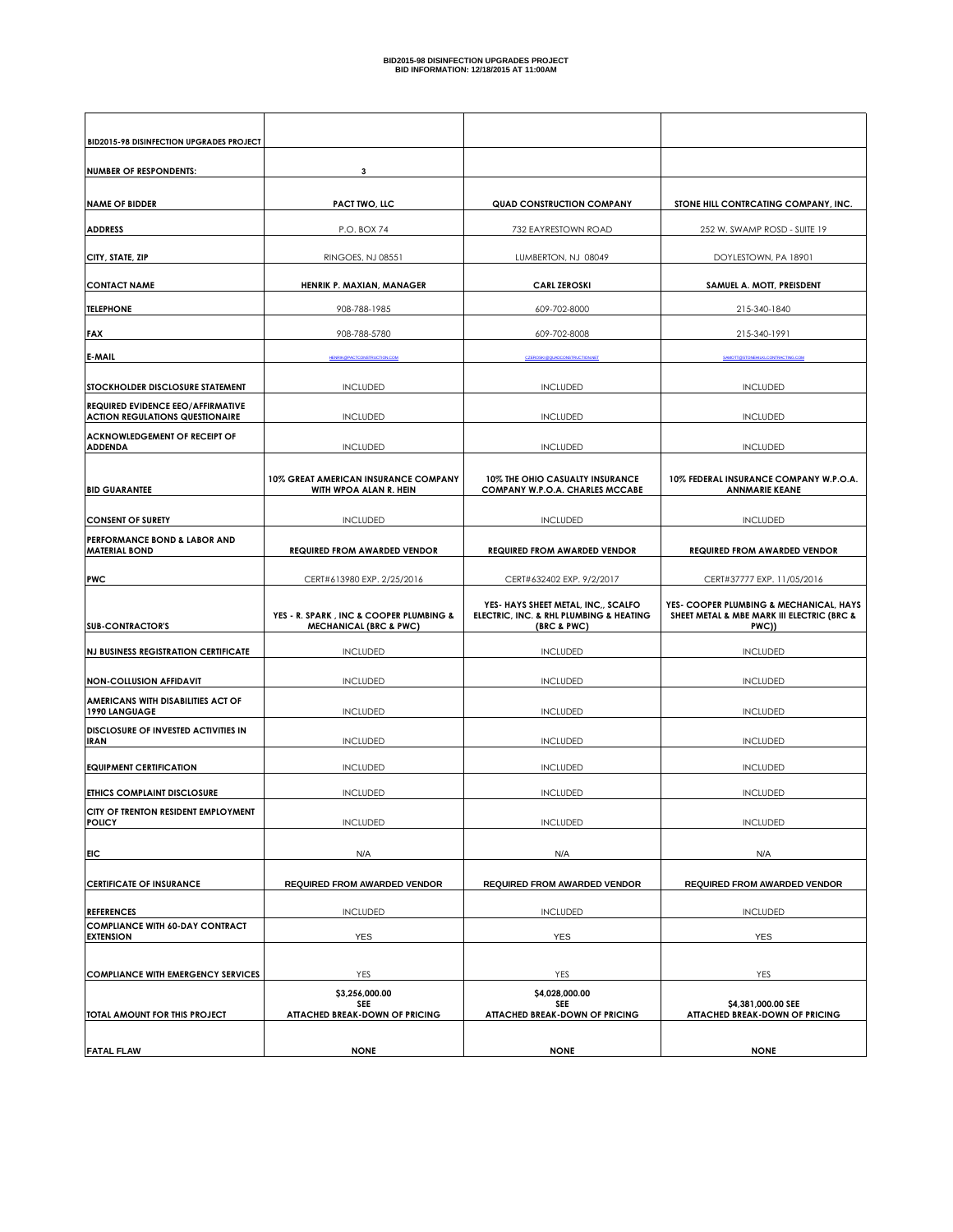| BID2015-98 DISINFECTION UPGRADES PROJECT                                           |                                                                              |                                                                                               |                                                                                                |
|------------------------------------------------------------------------------------|------------------------------------------------------------------------------|-----------------------------------------------------------------------------------------------|------------------------------------------------------------------------------------------------|
| <b>NUMBER OF RESPONDENTS:</b>                                                      | 3                                                                            |                                                                                               |                                                                                                |
| <b>NAME OF BIDDER</b>                                                              | <b>PACT TWO, LLC</b>                                                         | <b>QUAD CONSTRUCTION COMPANY</b>                                                              | STONE HILL CONTRCATING COMPANY, INC.                                                           |
| <b>ADDRESS</b>                                                                     | P.O. BOX 74                                                                  | 732 EAYRESTOWN ROAD                                                                           | 252 W. SWAMP ROSD - SUITE 19                                                                   |
| CITY, STATE, ZIP                                                                   | RINGOES, NJ 08551                                                            | LUMBERTON, NJ 08049                                                                           | DOYLESTOWN, PA 18901                                                                           |
| <b>CONTACT NAME</b>                                                                | HENRIK P. MAXIAN, MANAGER                                                    | <b>CARL ZEROSKI</b>                                                                           | SAMUEL A. MOTT, PREISDENT                                                                      |
| <b>TELEPHONE</b>                                                                   | 908-788-1985                                                                 | 609-702-8000                                                                                  | 215-340-1840                                                                                   |
| <b>FAX</b>                                                                         | 908-788-5780                                                                 | 609-702-8008                                                                                  | 215-340-1991                                                                                   |
| <b>E-MAIL</b>                                                                      |                                                                              |                                                                                               |                                                                                                |
| <b>STOCKHOLDER DISCLOSURE STATEMENT</b>                                            | <b>INCLUDED</b>                                                              | <b>INCLUDED</b>                                                                               | <b>INCLUDED</b>                                                                                |
| <b>REQUIRED EVIDENCE EEO/AFFIRMATIVE</b><br><b>ACTION REGULATIONS QUESTIONAIRE</b> | <b>INCLUDED</b>                                                              | <b>INCLUDED</b>                                                                               | <b>INCLUDED</b>                                                                                |
| <b>ACKNOWLEDGEMENT OF RECEIPT OF</b><br><b>ADDENDA</b>                             | <b>INCLUDED</b>                                                              | <b>INCLUDED</b>                                                                               | <b>INCLUDED</b>                                                                                |
| <b>BID GUARANTEE</b>                                                               | 10% GREAT AMERICAN INSURANCE COMPANY<br>WITH WPOA ALAN R. HEIN               | 10% THE OHIO CASUALTY INSURANCE<br>COMPANY W.P.O.A. CHARLES MCCABE                            | 10% FEDERAL INSURANCE COMPANY W.P.O.A.<br><b>ANNMARIE KEANE</b>                                |
| <b>CONSENT OF SURETY</b>                                                           | <b>INCLUDED</b>                                                              | <b>INCLUDED</b>                                                                               | <b>INCLUDED</b>                                                                                |
| PERFORMANCE BOND & LABOR AND<br><b>MATERIAL BOND</b>                               | <b>REQUIRED FROM AWARDED VENDOR</b>                                          | <b>REQUIRED FROM AWARDED VENDOR</b>                                                           | <b>REQUIRED FROM AWARDED VENDOR</b>                                                            |
| <b>PWC</b>                                                                         | CERT#613980 EXP. 2/25/2016                                                   | CERT#632402 EXP. 9/2/2017                                                                     | CERT#37777 EXP. 11/05/2016                                                                     |
| <b>SUB-CONTRACTOR'S</b>                                                            | YES - R. SPARK, INC & COOPER PLUMBING &<br><b>MECHANICAL (BRC &amp; PWC)</b> | YES- HAYS SHEET METAL, INC., SCALFO<br>ELECTRIC, INC. & RHL PLUMBING & HEATING<br>(BRC & PWC) | YES- COOPER PLUMBING & MECHANICAL, HAYS<br>SHEET METAL & MBE MARK III ELECTRIC (BRC &<br>PWC)) |
| <b>NJ BUSINESS REGISTRATION CERTIFICATE</b>                                        | <b>INCLUDED</b>                                                              | <b>INCLUDED</b>                                                                               | <b>INCLUDED</b>                                                                                |
| <b>NON-COLLUSION AFFIDAVIT</b>                                                     | <b>INCLUDED</b>                                                              | <b>INCLUDED</b>                                                                               | <b>INCLUDED</b>                                                                                |
| AMERICANS WITH DISABILITIES ACT OF<br>1990 LANGUAGE                                | <b>INCLUDED</b>                                                              | <b>INCLUDED</b>                                                                               | <b>INCLUDED</b>                                                                                |
| DISCLOSURE OF INVESTED ACTIVITIES IN<br><b>IRAN</b>                                | <b>INCLUDED</b>                                                              | <b>INCLUDED</b>                                                                               | <b>INCLUDED</b>                                                                                |
| <b>EQUIPMENT CERTIFICATION</b>                                                     | <b>INCLUDED</b>                                                              | <b>INCLUDED</b>                                                                               | <b>INCLUDED</b>                                                                                |
| <b>ETHICS COMPLAINT DISCLOSURE</b>                                                 | <b>INCLUDED</b>                                                              | <b>INCLUDED</b>                                                                               | <b>INCLUDED</b>                                                                                |
| CITY OF TRENTON RESIDENT EMPLOYMENT<br><b>POLICY</b>                               | <b>INCLUDED</b>                                                              | <b>INCLUDED</b>                                                                               | <b>INCLUDED</b>                                                                                |
| EIC.                                                                               | N/A                                                                          | N/A                                                                                           | N/A                                                                                            |
| <b>CERTIFICATE OF INSURANCE</b>                                                    | <b>REQUIRED FROM AWARDED VENDOR</b>                                          | <b>REQUIRED FROM AWARDED VENDOR</b>                                                           | <b>REQUIRED FROM AWARDED VENDOR</b>                                                            |
| <b>REFERENCES</b>                                                                  | <b>INCLUDED</b>                                                              | <b>INCLUDED</b>                                                                               | <b>INCLUDED</b>                                                                                |
| <b>COMPLIANCE WITH 60-DAY CONTRACT</b><br><b>EXTENSION</b>                         | YES                                                                          | YES                                                                                           | YES                                                                                            |
| <b>COMPLIANCE WITH EMERGENCY SERVICES</b>                                          | YES                                                                          | YES                                                                                           | YES                                                                                            |
|                                                                                    | \$3,256,000.00                                                               | \$4,028,000.00                                                                                |                                                                                                |
| TOTAL AMOUNT FOR THIS PROJECT                                                      | <b>SEE</b><br><b>ATTACHED BREAK-DOWN OF PRICING</b>                          | SEE<br><b>ATTACHED BREAK-DOWN OF PRICING</b>                                                  | \$4,381,000.00 SEE<br><b>ATTACHED BREAK-DOWN OF PRICING</b>                                    |
| <b>FATAL FLAW</b>                                                                  | <b>NONE</b>                                                                  | <b>NONE</b>                                                                                   | <b>NONE</b>                                                                                    |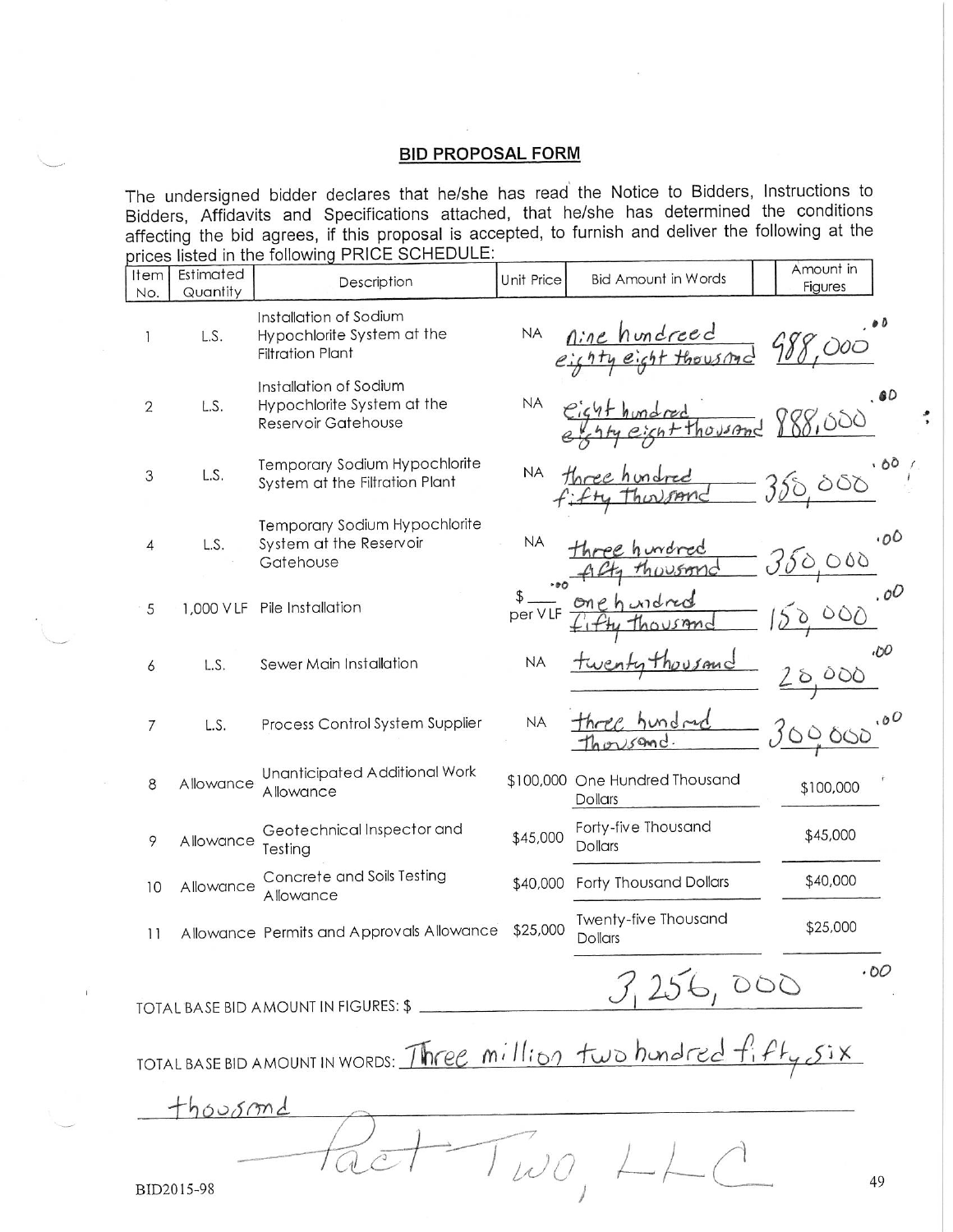## **BID PROPOSAL FORM**

The undersigned bidder declares that he/she has read the Notice to Bidders, Instructions to Bidders, Affidavits and Specifications attached, that he/she has determined the conditions affecting the bid agrees, if this proposal is accepted, to furnish and deliver the following at the prices listed in the following PRICE SCHEDULE:

|                                                                     | $1.9134$ $1.11$ $1.19$ $1.911$ $1.11$ |                                                                                 |            |                                                  |                       |
|---------------------------------------------------------------------|---------------------------------------|---------------------------------------------------------------------------------|------------|--------------------------------------------------|-----------------------|
| Item<br>No.                                                         | Estimated<br>Quantity                 | Description                                                                     | Unit Price | <b>Bid Amount in Words</b>                       | Amount in<br>Figures  |
| 1                                                                   | L.S.                                  | Installation of Sodium<br>Hypochlorite System at the<br><b>Filtration Plant</b> | <b>NA</b>  | <u>Aine</u> hundreed<br>righty eight thousand    |                       |
| $\overline{2}$                                                      | L.S.                                  | Installation of Sodium<br>Hypochlorite System at the<br>Reservoir Gatehouse     | <b>NA</b>  | housand                                          | 60<br>88,000          |
| 3                                                                   | L.S.                                  | Temporary Sodium Hypochlorite<br>System at the Filtration Plant                 | <b>NA</b>  |                                                  | .80                   |
| 4                                                                   | L.S.                                  | Temporary Sodium Hypochlorite<br>System at the Reservoir<br>Gatehouse           | <b>NA</b>  |                                                  | .00<br>000            |
| 5                                                                   |                                       | 1,000 VLF Pile Installation                                                     | per VLF    |                                                  | .0 <sup>O</sup>       |
| 6                                                                   | L.S.                                  | Sewer Main Installation                                                         | <b>NA</b>  | Thousand                                         | .00<br>000<br>$\circ$ |
| 7                                                                   | L.S.                                  | Process Control System Supplier                                                 | <b>NA</b>  |                                                  | <u>30000</u>          |
| 8                                                                   | Allowance                             | Unanticipated Additional Work<br>Allowance                                      |            | \$100,000 One Hundred Thousand<br><b>Dollars</b> | \$100,000             |
| 9                                                                   | Allowance                             | Geotechnical Inspector and<br>Testing                                           | \$45,000   | Forty-five Thousand<br><b>Dollars</b>            | \$45,000              |
| 10                                                                  | Allowance                             | Concrete and Soils Testing<br>Allowance                                         | \$40,000   | <b>Forty Thousand Dollars</b>                    | \$40,000              |
| 11                                                                  |                                       | Allowance Permits and Approvals Allowance                                       | \$25,000   | Twenty-five Thousand<br><b>Dollars</b>           | \$25,000              |
| .00<br>3,256,000<br>TOTAL BASE BID AMOUNT IN FIGURES: \$            |                                       |                                                                                 |            |                                                  |                       |
| TOTAL BASE BID AMOUNT IN WORDS: Three million two hundred fifty Six |                                       |                                                                                 |            |                                                  |                       |
| thoosmd                                                             |                                       |                                                                                 |            |                                                  |                       |
| 49<br>BID2015-98                                                    |                                       |                                                                                 |            |                                                  |                       |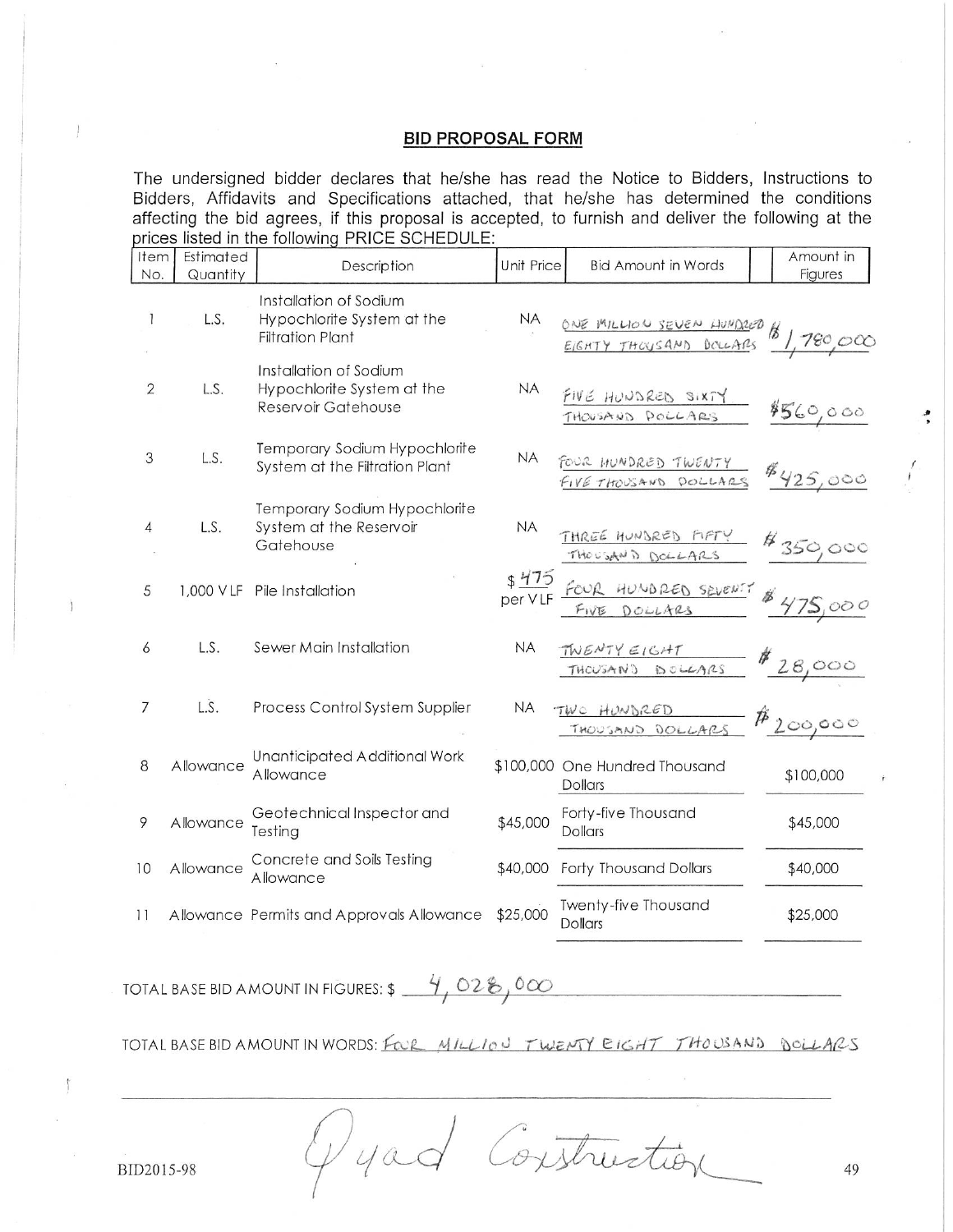## **BID PROPOSAL FORM**

The undersigned bidder declares that he/she has read the Notice to Bidders, Instructions to Bidders, Affidavits and Specifications attached, that he/she has determined the conditions affecting the bid agrees, if this proposal is accepted, to furnish and deliver the following at the prices listed in the following PRICE SCHEDULE:

| Item<br>No.    | Estimated<br>Quantity                             | Description                                                                     | Unit Price | <b>Bid Amount in Words</b>                       | Amount in<br>Figures |
|----------------|---------------------------------------------------|---------------------------------------------------------------------------------|------------|--------------------------------------------------|----------------------|
| 1              | L.S.                                              | Installation of Sodium<br>Hypochlorite System at the<br><b>Filtration Plant</b> | <b>NA</b>  | ONE MILLION SEVEN HUMDRED \$ 1,780,000           |                      |
| $\overline{2}$ | L.S.                                              | Installation of Sodium<br>Hypochlorite System at the<br>Reservoir Gatehouse     | <b>NA</b>  | FIVE HUNDRED SIXTY<br>THOUSAND DOLLARS           | 4560,000             |
| 3              | L.S.                                              | Temporary Sodium Hypochlorite<br>System at the Filtration Plant                 | <b>NA</b>  | FOUR HUNDRED TWENTY<br>FIVE THOUSAND DOLLARS     | 4425,000             |
| $\overline{4}$ | L.S.                                              | Temporary Sodium Hypochlorite<br>System at the Reservoir<br>Gatehouse           | <b>NA</b>  | THREE HUNDRED FIFTY \$350,000                    |                      |
| 5              |                                                   | 1,000 VLF Pile Installation                                                     |            | FOUR HUNDRED SEVENTY \$ 475,000                  |                      |
| 6              | L.S.                                              | Sewer Main Installation                                                         | <b>NA</b>  | TWENTY EIGHT \$28,000                            |                      |
| 7              | L.S.                                              | Process Control System Supplier                                                 | <b>NA</b>  | TWO HUNDRED<br>THOUSAND DOLLARS                  | $#_{200,000}$        |
| 8              | Allowance                                         | Unanticipated Additional Work<br>Allowance                                      |            | \$100,000 One Hundred Thousand<br><b>Dollars</b> | \$100,000            |
| 9              | Allowance                                         | Geotechnical Inspector and<br>Testing                                           | \$45,000   | Forty-five Thousand<br>Dollars                   | \$45,000             |
| 10             | Allowance                                         | Concrete and Soils Testing<br>Allowance                                         | \$40,000   | Forty Thousand Dollars                           | \$40,000             |
| 11             |                                                   | Allowance Permits and Approvals Allowance                                       | \$25,000   | Twenty-five Thousand<br><b>Dollars</b>           | \$25,000             |
|                | 4,028,000<br>TOTAL BASE BID AMOUNT IN FIGURES: \$ |                                                                                 |            |                                                  |                      |

TOTAL BASE BID AMOUNT IN WORDS: FOR MILLION TWENTY EIGHT THOUSAND DOLLARS

Construction  $1/4ac$ 

BID2015-98

 $\mathcal{L}$ 

 $\mathbf{r}$ 

49